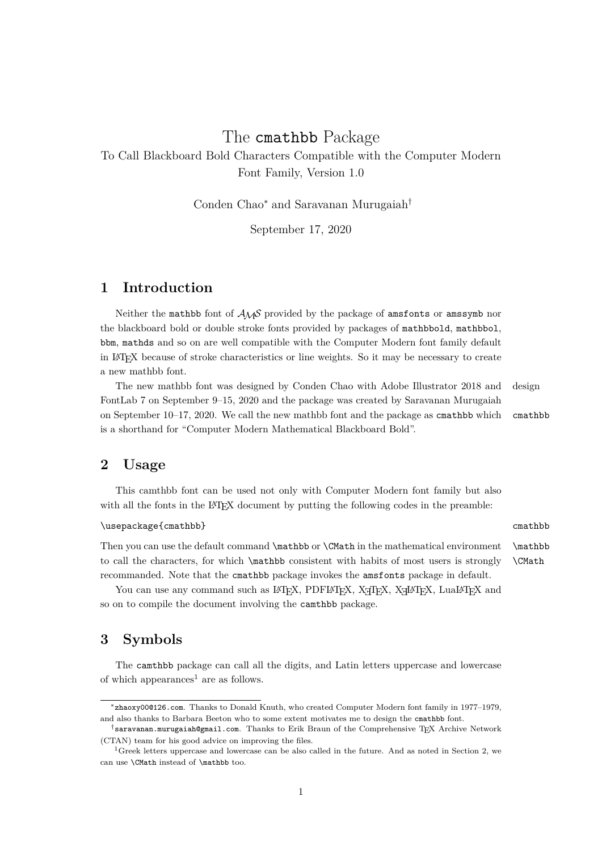# The cmathbb Package

To Call Blackboard Bold Characters Compatible with the Computer Modern Font Family, Version 1.0

Conden Chao<sup>∗</sup> and Saravanan Murugaiah†

September 17, 2020

## **1 Introduction**

Neither the mathbb font of *AMS* provided by the package of amsfonts or amssymb nor the blackboard bold or double stroke fonts provided by packages of mathbbold, mathbbol, bbm, mathds and so on are well compatible with the Computer Modern font family default in LATEX because of stroke characteristics or line weights. So it may be necessary to create a new mathbb font.

The new mathbb font was designed by Conden Chao with Adobe Illustrator 2018 and design FontLab 7 on September 9–15, 2020 and the package was created by Saravanan Murugaiah on September 10–17, 2020. We call the new mathbb font and the package as cmathbb which cmathbb is a shorthand for "Computer Modern Mathematical Blackboard Bold".

### **2 Usage**

This camthbb font can be used not only with Computer Modern font family but also with all the fonts in the LAT<sub>EX</sub> document by putting the following codes in the preamble:

#### \usepackage{cmathbb} cmathbb

Then you can use the default command \mathbb or \CMath in the mathematical environment \mathbb to call the characters, for which \mathbb consistent with habits of most users is strongly \CMath recommanded. Note that the cmathbb package invokes the amsfonts package in default.

You can use any command such as LATEX, PDFLATEX, XqTEX, XqLATEX, LuaLATEX and so on to compile the document involving the camthbb package.

### **3 Symbols**

The camthbb package can call all the digits, and Latin letters uppercase and lowercase of which appearances<sup>1</sup> are as follows.

<sup>∗</sup>zhaoxy00@126.com. Thanks to Donald Knuth, who created Computer Modern font family in 1977–1979, and also thanks to Barbara Beeton who to some extent motivates me to design the cmathbb font.

<sup>†</sup>saravanan.murugaiah@gmail.com. Thanks to Erik Braun of the Comprehensive TEX Archive Network (CTAN) team for his good advice on improving the files.

<sup>&</sup>lt;sup>1</sup>Greek letters uppercase and lowercase can be also called in the future. And as noted in Section 2, we can use \CMath instead of \mathbb too.